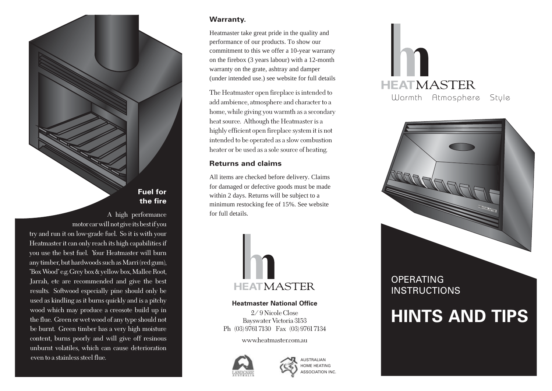### **Fuel for the fire**

 A high performance motor car will not give its best if you try and run it on low-grade fuel. So it is with your Heatmaster it can only reach its high capabilities if you use the best fuel. Your Heatmaster will burn any timber, but hardwoods such as Marri (red gum), "Box Wood" e.g. Grey box & yellow box, Mallee Root, Jarrah, etc are recommended and give the best results. Softwood especially pine should only be used as kindling as it burns quickly and is a pitchy wood which may produce a creosote build up in the flue. Green or wet wood of any type should not be burnt. Green timber has a very high moisture content, burns poorly and will give off resinous unburnt volatiles, which can cause deterioration even to a stainless steel flue.

#### **Warranty.**

Heatmaster take great pride in the quality and performance of our products. To show our commitment to this we offer a 10-year warranty on the firebox (3 years labour) with a 12-month warranty on the grate, ashtray and damper (under intended use.) see website for full details

The Heatmaster open fireplace is intended to add ambience, atmosphere and character to a home, while giving you warmth as a secondary heat source. Although the Heatmaster is a highly efficient open fireplace system it is not intended to be operated as a slow combustion heater or be used as a sole source of heating.

### **Returns and claims**

All items are checked before delivery. Claims for damaged or defective goods must be made within 2 days. Returns will be subject to a minimum restocking fee of 15%. See website for full details.



**Heatmaster National Office** 2/ 9 Nicole Close Bayswater Victoria 3153 Ph (03) 9761 7130 Fax (03) 9761 7134

www.heatmaster.com.au





# **HEATMASTER** Warmth Atmosphere Style



## **HINTS AND TIPS**

ASSOCIATION INC.